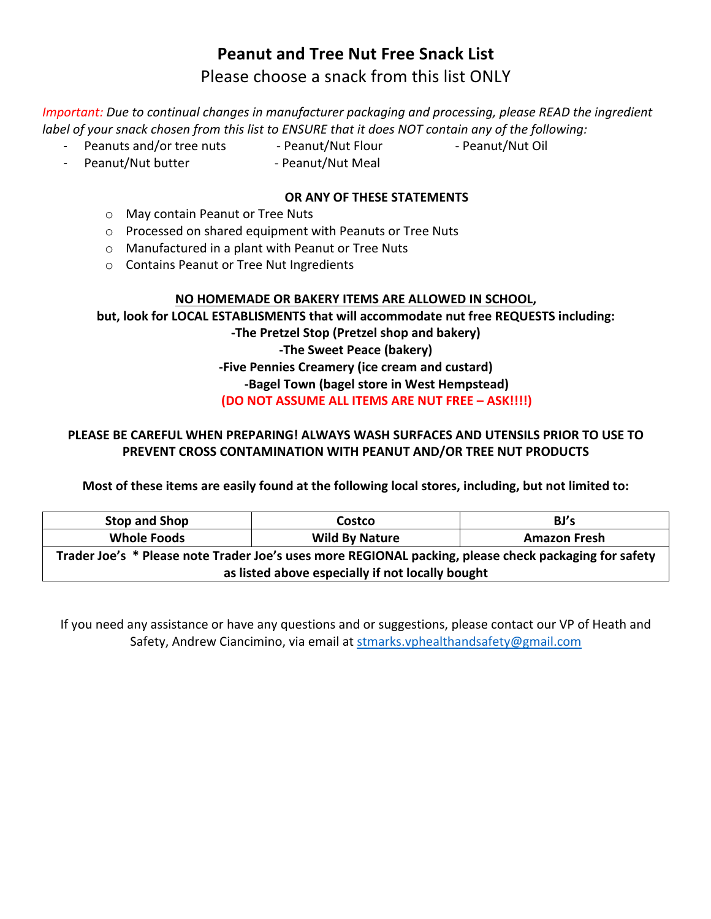### **Peanut and Tree Nut Free Snack List**

### Please choose a snack from this list ONLY

*Important:* Due to continual changes in manufacturer packaging and processing, please READ the ingredient *label* of your snack chosen from this list to ENSURE that it does NOT contain any of the following:

- *-* Peanuts and/or tree nuts - Peanut/Nut Flour - Peanut/Nut Oil
	-
- 
- Peanut/Nut butter **Deanut/Nut Meal**

#### **OR ANY OF THESE STATEMENTS**

- $\circ$  May contain Peanut or Tree Nuts
- o Processed on shared equipment with Peanuts or Tree Nuts
- $\circ$  Manufactured in a plant with Peanut or Tree Nuts
- o Contains Peanut or Tree Nut Ingredients

#### **NO HOMEMADE OR BAKERY ITEMS ARE ALLOWED IN SCHOOL,**

**but, look for LOCAL ESTABLISMENTS that will accommodate nut free REQUESTS including: -The Pretzel Stop (Pretzel shop and bakery) -The Sweet Peace (bakery) -Five Pennies Creamery (ice cream and custard) -Bagel Town (bagel store in West Hempstead) (DO NOT ASSUME ALL ITEMS ARE NUT FREE – ASK!!!!)**

#### **PLEASE BE CAREFUL WHEN PREPARING! ALWAYS WASH SURFACES AND UTENSILS PRIOR TO USE TO PREVENT CROSS CONTAMINATION WITH PEANUT AND/OR TREE NUT PRODUCTS**

**Most of these items are easily found at the following local stores, including, but not limited to:** 

| <b>Stop and Shop</b>                                                                                  | Costco                | BJ's                |  |  |
|-------------------------------------------------------------------------------------------------------|-----------------------|---------------------|--|--|
| <b>Whole Foods</b>                                                                                    | <b>Wild By Nature</b> | <b>Amazon Fresh</b> |  |  |
| Trader Joe's * Please note Trader Joe's uses more REGIONAL packing, please check packaging for safety |                       |                     |  |  |
| as listed above especially if not locally bought                                                      |                       |                     |  |  |

If you need any assistance or have any questions and or suggestions, please contact our VP of Heath and Safety, Andrew Ciancimino, via email at stmarks.vphealthandsafety@gmail.com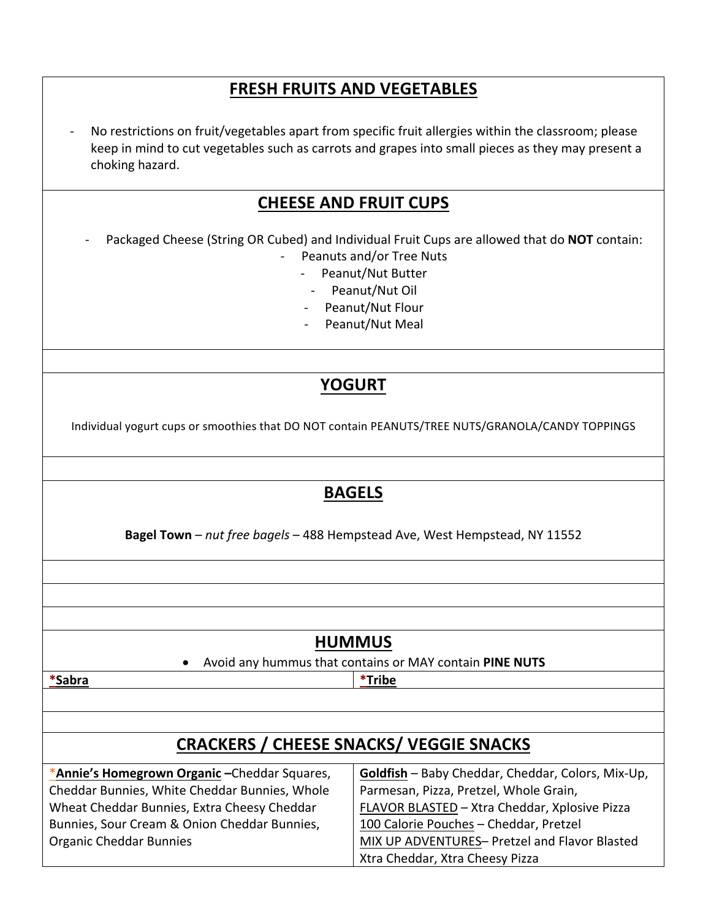## **FRESH FRUITS AND VEGETABLES**

No restrictions on fruit/vegetables apart from specific fruit allergies within the classroom; please keep in mind to cut vegetables such as carrots and grapes into small pieces as they may present a choking hazard.

### **CHEESE AND FRUIT CUPS**

Packaged Cheese (String OR Cubed) and Individual Fruit Cups are allowed that do **NOT** contain:

- Peanuts and/or Tree Nuts
	- Peanut/Nut Butter
		- Peanut/Nut Oil
	- Peanut/Nut Flour
	- Peanut/Nut Meal

# **YOGURT**

Individual yogurt cups or smoothies that DO NOT contain PEANUTS/TREE NUTS/GRANOLA/CANDY TOPPINGS

## **BAGELS**

**Bagel Town** – *nut free bagels* – 488 Hempstead Ave, West Hempstead, NY 11552

### **HUMMUS**

• Avoid any hummus that contains or MAY contain **PINE NUTS** 

**\*Sabra \*Tribe**

# **CRACKERS / CHEESE SNACKS/ VEGGIE SNACKS**

\***Annie's Homegrown Organic –**Cheddar Squares, Cheddar Bunnies, White Cheddar Bunnies, Whole Wheat Cheddar Bunnies, Extra Cheesy Cheddar Bunnies, Sour Cream & Onion Cheddar Bunnies, Organic Cheddar Bunnies

#### **Goldfish** – Baby Cheddar, Cheddar, Colors, Mix-Up, Parmesan, Pizza, Pretzel, Whole Grain, FLAVOR BLASTED – Xtra Cheddar, Xplosive Pizza 100 Calorie Pouches - Cheddar, Pretzel MIX UP ADVENTURES- Pretzel and Flavor Blasted Xtra Cheddar, Xtra Cheesy Pizza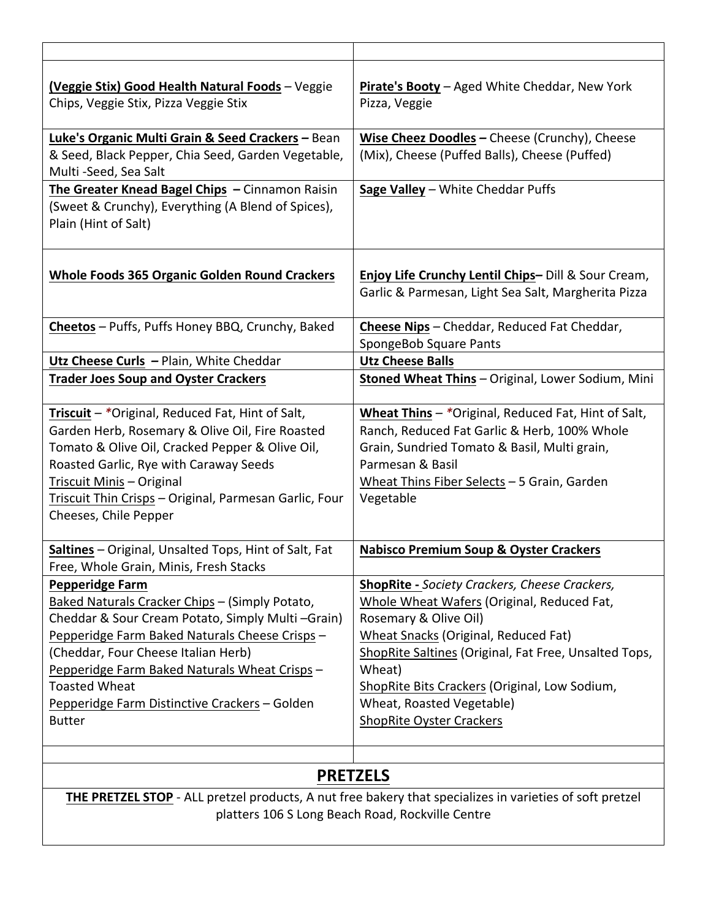| (Veggie Stix) Good Health Natural Foods - Veggie<br>Chips, Veggie Stix, Pizza Veggie Stix                                                                                                                                                                                                                                                                        | Pirate's Booty - Aged White Cheddar, New York<br>Pizza, Veggie                                                                                                                                                                                                                                                                                          |  |  |
|------------------------------------------------------------------------------------------------------------------------------------------------------------------------------------------------------------------------------------------------------------------------------------------------------------------------------------------------------------------|---------------------------------------------------------------------------------------------------------------------------------------------------------------------------------------------------------------------------------------------------------------------------------------------------------------------------------------------------------|--|--|
| Luke's Organic Multi Grain & Seed Crackers - Bean                                                                                                                                                                                                                                                                                                                | Wise Cheez Doodles - Cheese (Crunchy), Cheese                                                                                                                                                                                                                                                                                                           |  |  |
| & Seed, Black Pepper, Chia Seed, Garden Vegetable,<br>Multi -Seed, Sea Salt                                                                                                                                                                                                                                                                                      | (Mix), Cheese (Puffed Balls), Cheese (Puffed)                                                                                                                                                                                                                                                                                                           |  |  |
| The Greater Knead Bagel Chips - Cinnamon Raisin                                                                                                                                                                                                                                                                                                                  | Sage Valley - White Cheddar Puffs                                                                                                                                                                                                                                                                                                                       |  |  |
| (Sweet & Crunchy), Everything (A Blend of Spices),<br>Plain (Hint of Salt)                                                                                                                                                                                                                                                                                       |                                                                                                                                                                                                                                                                                                                                                         |  |  |
| <b>Whole Foods 365 Organic Golden Round Crackers</b>                                                                                                                                                                                                                                                                                                             | <b>Enjoy Life Crunchy Lentil Chips-Dill &amp; Sour Cream,</b><br>Garlic & Parmesan, Light Sea Salt, Margherita Pizza                                                                                                                                                                                                                                    |  |  |
| Cheetos - Puffs, Puffs Honey BBQ, Crunchy, Baked                                                                                                                                                                                                                                                                                                                 | Cheese Nips - Cheddar, Reduced Fat Cheddar,<br>SpongeBob Square Pants                                                                                                                                                                                                                                                                                   |  |  |
| Utz Cheese Curls - Plain, White Cheddar                                                                                                                                                                                                                                                                                                                          | <b>Utz Cheese Balls</b>                                                                                                                                                                                                                                                                                                                                 |  |  |
| <b>Trader Joes Soup and Oyster Crackers</b>                                                                                                                                                                                                                                                                                                                      | Stoned Wheat Thins - Original, Lower Sodium, Mini                                                                                                                                                                                                                                                                                                       |  |  |
| Triscuit - *Original, Reduced Fat, Hint of Salt,<br>Garden Herb, Rosemary & Olive Oil, Fire Roasted<br>Tomato & Olive Oil, Cracked Pepper & Olive Oil,<br>Roasted Garlic, Rye with Caraway Seeds<br>Triscuit Minis - Original<br>Triscuit Thin Crisps - Original, Parmesan Garlic, Four<br>Cheeses, Chile Pepper                                                 | <b>Wheat Thins</b> $-$ *Original, Reduced Fat, Hint of Salt,<br>Ranch, Reduced Fat Garlic & Herb, 100% Whole<br>Grain, Sundried Tomato & Basil, Multi grain,<br>Parmesan & Basil<br>Wheat Thins Fiber Selects - 5 Grain, Garden<br>Vegetable                                                                                                            |  |  |
| Saltines - Original, Unsalted Tops, Hint of Salt, Fat<br>Free, Whole Grain, Minis, Fresh Stacks                                                                                                                                                                                                                                                                  | <b>Nabisco Premium Soup &amp; Oyster Crackers</b>                                                                                                                                                                                                                                                                                                       |  |  |
| <b>Pepperidge Farm</b><br>Baked Naturals Cracker Chips - (Simply Potato,<br>Cheddar & Sour Cream Potato, Simply Multi-Grain)<br>Pepperidge Farm Baked Naturals Cheese Crisps -<br>(Cheddar, Four Cheese Italian Herb)<br>Pepperidge Farm Baked Naturals Wheat Crisps -<br><b>Toasted Wheat</b><br>Pepperidge Farm Distinctive Crackers - Golden<br><b>Butter</b> | <b>ShopRite - Society Crackers, Cheese Crackers,</b><br>Whole Wheat Wafers (Original, Reduced Fat,<br>Rosemary & Olive Oil)<br>Wheat Snacks (Original, Reduced Fat)<br>ShopRite Saltines (Original, Fat Free, Unsalted Tops,<br>Wheat)<br>ShopRite Bits Crackers (Original, Low Sodium,<br>Wheat, Roasted Vegetable)<br><b>ShopRite Oyster Crackers</b> |  |  |
|                                                                                                                                                                                                                                                                                                                                                                  | <b>PRETZELS</b>                                                                                                                                                                                                                                                                                                                                         |  |  |
|                                                                                                                                                                                                                                                                                                                                                                  |                                                                                                                                                                                                                                                                                                                                                         |  |  |
| THE PRETZEL STOP - ALL pretzel products, A nut free bakery that specializes in varieties of soft pretzel<br>platters 106 S Long Beach Road, Rockville Centre                                                                                                                                                                                                     |                                                                                                                                                                                                                                                                                                                                                         |  |  |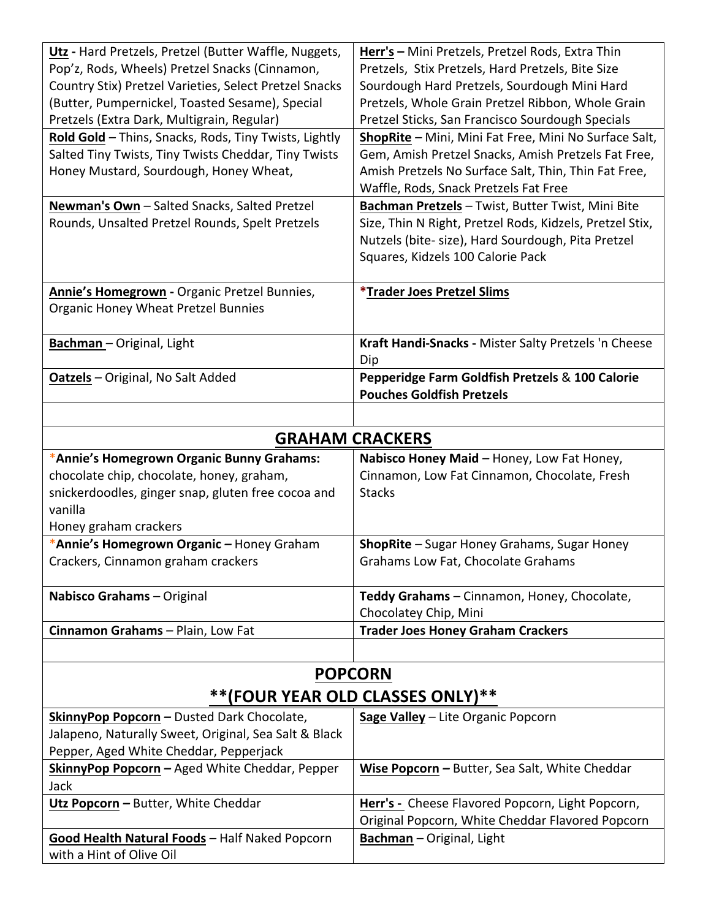| Utz - Hard Pretzels, Pretzel (Butter Waffle, Nuggets,  | Herr's - Mini Pretzels, Pretzel Rods, Extra Thin         |  |
|--------------------------------------------------------|----------------------------------------------------------|--|
| Pop'z, Rods, Wheels) Pretzel Snacks (Cinnamon,         | Pretzels, Stix Pretzels, Hard Pretzels, Bite Size        |  |
| Country Stix) Pretzel Varieties, Select Pretzel Snacks | Sourdough Hard Pretzels, Sourdough Mini Hard             |  |
| (Butter, Pumpernickel, Toasted Sesame), Special        | Pretzels, Whole Grain Pretzel Ribbon, Whole Grain        |  |
| Pretzels (Extra Dark, Multigrain, Regular)             | Pretzel Sticks, San Francisco Sourdough Specials         |  |
| Rold Gold - Thins, Snacks, Rods, Tiny Twists, Lightly  | ShopRite - Mini, Mini Fat Free, Mini No Surface Salt,    |  |
| Salted Tiny Twists, Tiny Twists Cheddar, Tiny Twists   | Gem, Amish Pretzel Snacks, Amish Pretzels Fat Free,      |  |
| Honey Mustard, Sourdough, Honey Wheat,                 | Amish Pretzels No Surface Salt, Thin, Thin Fat Free,     |  |
|                                                        | Waffle, Rods, Snack Pretzels Fat Free                    |  |
| Newman's Own - Salted Snacks, Salted Pretzel           | Bachman Pretzels - Twist, Butter Twist, Mini Bite        |  |
| Rounds, Unsalted Pretzel Rounds, Spelt Pretzels        | Size, Thin N Right, Pretzel Rods, Kidzels, Pretzel Stix, |  |
|                                                        | Nutzels (bite- size), Hard Sourdough, Pita Pretzel       |  |
|                                                        | Squares, Kidzels 100 Calorie Pack                        |  |
|                                                        |                                                          |  |
| Annie's Homegrown - Organic Pretzel Bunnies,           | <i><b>*Trader Joes Pretzel Slims</b></i>                 |  |
| <b>Organic Honey Wheat Pretzel Bunnies</b>             |                                                          |  |
|                                                        |                                                          |  |
| <b>Bachman</b> - Original, Light                       | Kraft Handi-Snacks - Mister Salty Pretzels 'n Cheese     |  |
|                                                        | Dip                                                      |  |
| Oatzels - Original, No Salt Added                      | Pepperidge Farm Goldfish Pretzels & 100 Calorie          |  |
|                                                        | <b>Pouches Goldfish Pretzels</b>                         |  |
|                                                        |                                                          |  |
|                                                        | <b>GRAHAM CRACKERS</b>                                   |  |
| *Annie's Homegrown Organic Bunny Grahams:              | Nabisco Honey Maid - Honey, Low Fat Honey,               |  |
| chocolate chip, chocolate, honey, graham,              | Cinnamon, Low Fat Cinnamon, Chocolate, Fresh             |  |
| snickerdoodles, ginger snap, gluten free cocoa and     | <b>Stacks</b>                                            |  |
| vanilla                                                |                                                          |  |
| Honey graham crackers                                  |                                                          |  |
| *Annie's Homegrown Organic - Honey Graham              | ShopRite - Sugar Honey Grahams, Sugar Honey              |  |
| Crackers, Cinnamon graham crackers                     | Grahams Low Fat, Chocolate Grahams                       |  |
|                                                        |                                                          |  |
| Nabisco Grahams - Original                             | Teddy Grahams - Cinnamon, Honey, Chocolate,              |  |
|                                                        | Chocolatey Chip, Mini                                    |  |
| Cinnamon Grahams - Plain, Low Fat                      | <b>Trader Joes Honey Graham Crackers</b>                 |  |
|                                                        |                                                          |  |
|                                                        |                                                          |  |
| <b>POPCORN</b>                                         |                                                          |  |
| **(FOUR YEAR OLD CLASSES ONLY)**                       |                                                          |  |
| SkinnyPop Popcorn - Dusted Dark Chocolate,             | Sage Valley - Lite Organic Popcorn                       |  |
| Jalapeno, Naturally Sweet, Original, Sea Salt & Black  |                                                          |  |
| Pepper, Aged White Cheddar, Pepperjack                 |                                                          |  |
| SkinnyPop Popcorn - Aged White Cheddar, Pepper         | Wise Popcorn - Butter, Sea Salt, White Cheddar           |  |
| Jack                                                   |                                                          |  |
| Utz Popcorn - Butter, White Cheddar                    | Herr's - Cheese Flavored Popcorn, Light Popcorn,         |  |
|                                                        | Original Popcorn, White Cheddar Flavored Popcorn         |  |
| <b>Good Health Natural Foods</b> - Half Naked Popcorn  | Bachman - Original, Light                                |  |
| with a Hint of Olive Oil                               |                                                          |  |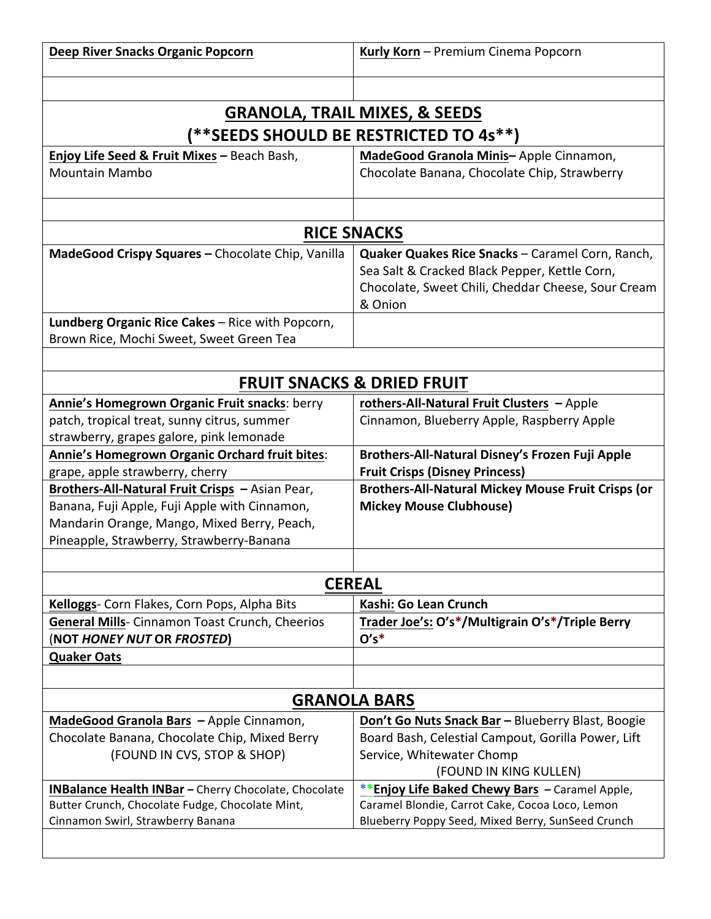| <b>GRANOLA, TRAIL MIXES, &amp; SEEDS</b><br>(**SEEDS SHOULD BE RESTRICTED TO 4s**)<br>Enjoy Life Seed & Fruit Mixes - Beach Bash,<br>MadeGood Granola Minis-Apple Cinnamon,<br><b>Mountain Mambo</b><br>Chocolate Banana, Chocolate Chip, Strawberry<br><b>RICE SNACKS</b><br>MadeGood Crispy Squares - Chocolate Chip, Vanilla<br>Quaker Quakes Rice Snacks - Caramel Corn, Ranch,<br>Sea Salt & Cracked Black Pepper, Kettle Corn,<br>Chocolate, Sweet Chili, Cheddar Cheese, Sour Cream<br>& Onion<br>Lundberg Organic Rice Cakes - Rice with Popcorn,<br>Brown Rice, Mochi Sweet, Sweet Green Tea<br><b>FRUIT SNACKS &amp; DRIED FRUIT</b><br>Annie's Homegrown Organic Fruit snacks: berry<br>rothers-All-Natural Fruit Clusters - Apple<br>patch, tropical treat, sunny citrus, summer<br>Cinnamon, Blueberry Apple, Raspberry Apple<br>strawberry, grapes galore, pink lemonade<br>Annie's Homegrown Organic Orchard fruit bites:<br><b>Brothers-All-Natural Disney's Frozen Fuji Apple</b><br>grape, apple strawberry, cherry<br><b>Fruit Crisps (Disney Princess)</b><br>Brothers-All-Natural Fruit Crisps - Asian Pear,<br><b>Brothers-All-Natural Mickey Mouse Fruit Crisps (or</b><br>Banana, Fuji Apple, Fuji Apple with Cinnamon,<br><b>Mickey Mouse Clubhouse)</b><br>Mandarin Orange, Mango, Mixed Berry, Peach,<br>Pineapple, Strawberry, Strawberry-Banana<br><b>CEREAL</b><br>Kelloggs- Corn Flakes, Corn Pops, Alpha Bits<br>Kashi: Go Lean Crunch<br>Trader Joe's: O's*/Multigrain O's*/Triple Berry<br><b>General Mills-</b> Cinnamon Toast Crunch, Cheerios<br>$O's^*$<br>(NOT HONEY NUT OR FROSTED)<br><b>Quaker Oats</b><br><b>GRANOLA BARS</b><br>MadeGood Granola Bars - Apple Cinnamon,<br>Don't Go Nuts Snack Bar - Blueberry Blast, Boogie<br>Chocolate Banana, Chocolate Chip, Mixed Berry<br>Board Bash, Celestial Campout, Gorilla Power, Lift<br>(FOUND IN CVS, STOP & SHOP)<br>Service, Whitewater Chomp<br>(FOUND IN KING KULLEN)<br>**Enjoy Life Baked Chewy Bars – Caramel Apple,<br><b>INBalance Health INBar - Cherry Chocolate, Chocolate</b><br>Butter Crunch, Chocolate Fudge, Chocolate Mint,<br>Caramel Blondie, Carrot Cake, Cocoa Loco, Lemon<br>Cinnamon Swirl, Strawberry Banana<br>Blueberry Poppy Seed, Mixed Berry, SunSeed Crunch | <b>Deep River Snacks Organic Popcorn</b> | Kurly Korn - Premium Cinema Popcorn |  |
|----------------------------------------------------------------------------------------------------------------------------------------------------------------------------------------------------------------------------------------------------------------------------------------------------------------------------------------------------------------------------------------------------------------------------------------------------------------------------------------------------------------------------------------------------------------------------------------------------------------------------------------------------------------------------------------------------------------------------------------------------------------------------------------------------------------------------------------------------------------------------------------------------------------------------------------------------------------------------------------------------------------------------------------------------------------------------------------------------------------------------------------------------------------------------------------------------------------------------------------------------------------------------------------------------------------------------------------------------------------------------------------------------------------------------------------------------------------------------------------------------------------------------------------------------------------------------------------------------------------------------------------------------------------------------------------------------------------------------------------------------------------------------------------------------------------------------------------------------------------------------------------------------------------------------------------------------------------------------------------------------------------------------------------------------------------------------------------------------------------------------------------------------------------------------------------------------------------------------------------------------------------------------------------|------------------------------------------|-------------------------------------|--|
|                                                                                                                                                                                                                                                                                                                                                                                                                                                                                                                                                                                                                                                                                                                                                                                                                                                                                                                                                                                                                                                                                                                                                                                                                                                                                                                                                                                                                                                                                                                                                                                                                                                                                                                                                                                                                                                                                                                                                                                                                                                                                                                                                                                                                                                                                        |                                          |                                     |  |
|                                                                                                                                                                                                                                                                                                                                                                                                                                                                                                                                                                                                                                                                                                                                                                                                                                                                                                                                                                                                                                                                                                                                                                                                                                                                                                                                                                                                                                                                                                                                                                                                                                                                                                                                                                                                                                                                                                                                                                                                                                                                                                                                                                                                                                                                                        |                                          |                                     |  |
|                                                                                                                                                                                                                                                                                                                                                                                                                                                                                                                                                                                                                                                                                                                                                                                                                                                                                                                                                                                                                                                                                                                                                                                                                                                                                                                                                                                                                                                                                                                                                                                                                                                                                                                                                                                                                                                                                                                                                                                                                                                                                                                                                                                                                                                                                        |                                          |                                     |  |
|                                                                                                                                                                                                                                                                                                                                                                                                                                                                                                                                                                                                                                                                                                                                                                                                                                                                                                                                                                                                                                                                                                                                                                                                                                                                                                                                                                                                                                                                                                                                                                                                                                                                                                                                                                                                                                                                                                                                                                                                                                                                                                                                                                                                                                                                                        |                                          |                                     |  |
|                                                                                                                                                                                                                                                                                                                                                                                                                                                                                                                                                                                                                                                                                                                                                                                                                                                                                                                                                                                                                                                                                                                                                                                                                                                                                                                                                                                                                                                                                                                                                                                                                                                                                                                                                                                                                                                                                                                                                                                                                                                                                                                                                                                                                                                                                        |                                          |                                     |  |
|                                                                                                                                                                                                                                                                                                                                                                                                                                                                                                                                                                                                                                                                                                                                                                                                                                                                                                                                                                                                                                                                                                                                                                                                                                                                                                                                                                                                                                                                                                                                                                                                                                                                                                                                                                                                                                                                                                                                                                                                                                                                                                                                                                                                                                                                                        |                                          |                                     |  |
|                                                                                                                                                                                                                                                                                                                                                                                                                                                                                                                                                                                                                                                                                                                                                                                                                                                                                                                                                                                                                                                                                                                                                                                                                                                                                                                                                                                                                                                                                                                                                                                                                                                                                                                                                                                                                                                                                                                                                                                                                                                                                                                                                                                                                                                                                        |                                          |                                     |  |
|                                                                                                                                                                                                                                                                                                                                                                                                                                                                                                                                                                                                                                                                                                                                                                                                                                                                                                                                                                                                                                                                                                                                                                                                                                                                                                                                                                                                                                                                                                                                                                                                                                                                                                                                                                                                                                                                                                                                                                                                                                                                                                                                                                                                                                                                                        |                                          |                                     |  |
|                                                                                                                                                                                                                                                                                                                                                                                                                                                                                                                                                                                                                                                                                                                                                                                                                                                                                                                                                                                                                                                                                                                                                                                                                                                                                                                                                                                                                                                                                                                                                                                                                                                                                                                                                                                                                                                                                                                                                                                                                                                                                                                                                                                                                                                                                        |                                          |                                     |  |
|                                                                                                                                                                                                                                                                                                                                                                                                                                                                                                                                                                                                                                                                                                                                                                                                                                                                                                                                                                                                                                                                                                                                                                                                                                                                                                                                                                                                                                                                                                                                                                                                                                                                                                                                                                                                                                                                                                                                                                                                                                                                                                                                                                                                                                                                                        |                                          |                                     |  |
|                                                                                                                                                                                                                                                                                                                                                                                                                                                                                                                                                                                                                                                                                                                                                                                                                                                                                                                                                                                                                                                                                                                                                                                                                                                                                                                                                                                                                                                                                                                                                                                                                                                                                                                                                                                                                                                                                                                                                                                                                                                                                                                                                                                                                                                                                        |                                          |                                     |  |
|                                                                                                                                                                                                                                                                                                                                                                                                                                                                                                                                                                                                                                                                                                                                                                                                                                                                                                                                                                                                                                                                                                                                                                                                                                                                                                                                                                                                                                                                                                                                                                                                                                                                                                                                                                                                                                                                                                                                                                                                                                                                                                                                                                                                                                                                                        |                                          |                                     |  |
|                                                                                                                                                                                                                                                                                                                                                                                                                                                                                                                                                                                                                                                                                                                                                                                                                                                                                                                                                                                                                                                                                                                                                                                                                                                                                                                                                                                                                                                                                                                                                                                                                                                                                                                                                                                                                                                                                                                                                                                                                                                                                                                                                                                                                                                                                        |                                          |                                     |  |
|                                                                                                                                                                                                                                                                                                                                                                                                                                                                                                                                                                                                                                                                                                                                                                                                                                                                                                                                                                                                                                                                                                                                                                                                                                                                                                                                                                                                                                                                                                                                                                                                                                                                                                                                                                                                                                                                                                                                                                                                                                                                                                                                                                                                                                                                                        |                                          |                                     |  |
|                                                                                                                                                                                                                                                                                                                                                                                                                                                                                                                                                                                                                                                                                                                                                                                                                                                                                                                                                                                                                                                                                                                                                                                                                                                                                                                                                                                                                                                                                                                                                                                                                                                                                                                                                                                                                                                                                                                                                                                                                                                                                                                                                                                                                                                                                        |                                          |                                     |  |
|                                                                                                                                                                                                                                                                                                                                                                                                                                                                                                                                                                                                                                                                                                                                                                                                                                                                                                                                                                                                                                                                                                                                                                                                                                                                                                                                                                                                                                                                                                                                                                                                                                                                                                                                                                                                                                                                                                                                                                                                                                                                                                                                                                                                                                                                                        |                                          |                                     |  |
|                                                                                                                                                                                                                                                                                                                                                                                                                                                                                                                                                                                                                                                                                                                                                                                                                                                                                                                                                                                                                                                                                                                                                                                                                                                                                                                                                                                                                                                                                                                                                                                                                                                                                                                                                                                                                                                                                                                                                                                                                                                                                                                                                                                                                                                                                        |                                          |                                     |  |
|                                                                                                                                                                                                                                                                                                                                                                                                                                                                                                                                                                                                                                                                                                                                                                                                                                                                                                                                                                                                                                                                                                                                                                                                                                                                                                                                                                                                                                                                                                                                                                                                                                                                                                                                                                                                                                                                                                                                                                                                                                                                                                                                                                                                                                                                                        |                                          |                                     |  |
|                                                                                                                                                                                                                                                                                                                                                                                                                                                                                                                                                                                                                                                                                                                                                                                                                                                                                                                                                                                                                                                                                                                                                                                                                                                                                                                                                                                                                                                                                                                                                                                                                                                                                                                                                                                                                                                                                                                                                                                                                                                                                                                                                                                                                                                                                        |                                          |                                     |  |
|                                                                                                                                                                                                                                                                                                                                                                                                                                                                                                                                                                                                                                                                                                                                                                                                                                                                                                                                                                                                                                                                                                                                                                                                                                                                                                                                                                                                                                                                                                                                                                                                                                                                                                                                                                                                                                                                                                                                                                                                                                                                                                                                                                                                                                                                                        |                                          |                                     |  |
|                                                                                                                                                                                                                                                                                                                                                                                                                                                                                                                                                                                                                                                                                                                                                                                                                                                                                                                                                                                                                                                                                                                                                                                                                                                                                                                                                                                                                                                                                                                                                                                                                                                                                                                                                                                                                                                                                                                                                                                                                                                                                                                                                                                                                                                                                        |                                          |                                     |  |
|                                                                                                                                                                                                                                                                                                                                                                                                                                                                                                                                                                                                                                                                                                                                                                                                                                                                                                                                                                                                                                                                                                                                                                                                                                                                                                                                                                                                                                                                                                                                                                                                                                                                                                                                                                                                                                                                                                                                                                                                                                                                                                                                                                                                                                                                                        |                                          |                                     |  |
|                                                                                                                                                                                                                                                                                                                                                                                                                                                                                                                                                                                                                                                                                                                                                                                                                                                                                                                                                                                                                                                                                                                                                                                                                                                                                                                                                                                                                                                                                                                                                                                                                                                                                                                                                                                                                                                                                                                                                                                                                                                                                                                                                                                                                                                                                        |                                          |                                     |  |
|                                                                                                                                                                                                                                                                                                                                                                                                                                                                                                                                                                                                                                                                                                                                                                                                                                                                                                                                                                                                                                                                                                                                                                                                                                                                                                                                                                                                                                                                                                                                                                                                                                                                                                                                                                                                                                                                                                                                                                                                                                                                                                                                                                                                                                                                                        |                                          |                                     |  |
|                                                                                                                                                                                                                                                                                                                                                                                                                                                                                                                                                                                                                                                                                                                                                                                                                                                                                                                                                                                                                                                                                                                                                                                                                                                                                                                                                                                                                                                                                                                                                                                                                                                                                                                                                                                                                                                                                                                                                                                                                                                                                                                                                                                                                                                                                        |                                          |                                     |  |
|                                                                                                                                                                                                                                                                                                                                                                                                                                                                                                                                                                                                                                                                                                                                                                                                                                                                                                                                                                                                                                                                                                                                                                                                                                                                                                                                                                                                                                                                                                                                                                                                                                                                                                                                                                                                                                                                                                                                                                                                                                                                                                                                                                                                                                                                                        |                                          |                                     |  |
|                                                                                                                                                                                                                                                                                                                                                                                                                                                                                                                                                                                                                                                                                                                                                                                                                                                                                                                                                                                                                                                                                                                                                                                                                                                                                                                                                                                                                                                                                                                                                                                                                                                                                                                                                                                                                                                                                                                                                                                                                                                                                                                                                                                                                                                                                        |                                          |                                     |  |
|                                                                                                                                                                                                                                                                                                                                                                                                                                                                                                                                                                                                                                                                                                                                                                                                                                                                                                                                                                                                                                                                                                                                                                                                                                                                                                                                                                                                                                                                                                                                                                                                                                                                                                                                                                                                                                                                                                                                                                                                                                                                                                                                                                                                                                                                                        |                                          |                                     |  |
|                                                                                                                                                                                                                                                                                                                                                                                                                                                                                                                                                                                                                                                                                                                                                                                                                                                                                                                                                                                                                                                                                                                                                                                                                                                                                                                                                                                                                                                                                                                                                                                                                                                                                                                                                                                                                                                                                                                                                                                                                                                                                                                                                                                                                                                                                        |                                          |                                     |  |
|                                                                                                                                                                                                                                                                                                                                                                                                                                                                                                                                                                                                                                                                                                                                                                                                                                                                                                                                                                                                                                                                                                                                                                                                                                                                                                                                                                                                                                                                                                                                                                                                                                                                                                                                                                                                                                                                                                                                                                                                                                                                                                                                                                                                                                                                                        |                                          |                                     |  |
|                                                                                                                                                                                                                                                                                                                                                                                                                                                                                                                                                                                                                                                                                                                                                                                                                                                                                                                                                                                                                                                                                                                                                                                                                                                                                                                                                                                                                                                                                                                                                                                                                                                                                                                                                                                                                                                                                                                                                                                                                                                                                                                                                                                                                                                                                        |                                          |                                     |  |
|                                                                                                                                                                                                                                                                                                                                                                                                                                                                                                                                                                                                                                                                                                                                                                                                                                                                                                                                                                                                                                                                                                                                                                                                                                                                                                                                                                                                                                                                                                                                                                                                                                                                                                                                                                                                                                                                                                                                                                                                                                                                                                                                                                                                                                                                                        |                                          |                                     |  |
|                                                                                                                                                                                                                                                                                                                                                                                                                                                                                                                                                                                                                                                                                                                                                                                                                                                                                                                                                                                                                                                                                                                                                                                                                                                                                                                                                                                                                                                                                                                                                                                                                                                                                                                                                                                                                                                                                                                                                                                                                                                                                                                                                                                                                                                                                        |                                          |                                     |  |
|                                                                                                                                                                                                                                                                                                                                                                                                                                                                                                                                                                                                                                                                                                                                                                                                                                                                                                                                                                                                                                                                                                                                                                                                                                                                                                                                                                                                                                                                                                                                                                                                                                                                                                                                                                                                                                                                                                                                                                                                                                                                                                                                                                                                                                                                                        |                                          |                                     |  |
|                                                                                                                                                                                                                                                                                                                                                                                                                                                                                                                                                                                                                                                                                                                                                                                                                                                                                                                                                                                                                                                                                                                                                                                                                                                                                                                                                                                                                                                                                                                                                                                                                                                                                                                                                                                                                                                                                                                                                                                                                                                                                                                                                                                                                                                                                        |                                          |                                     |  |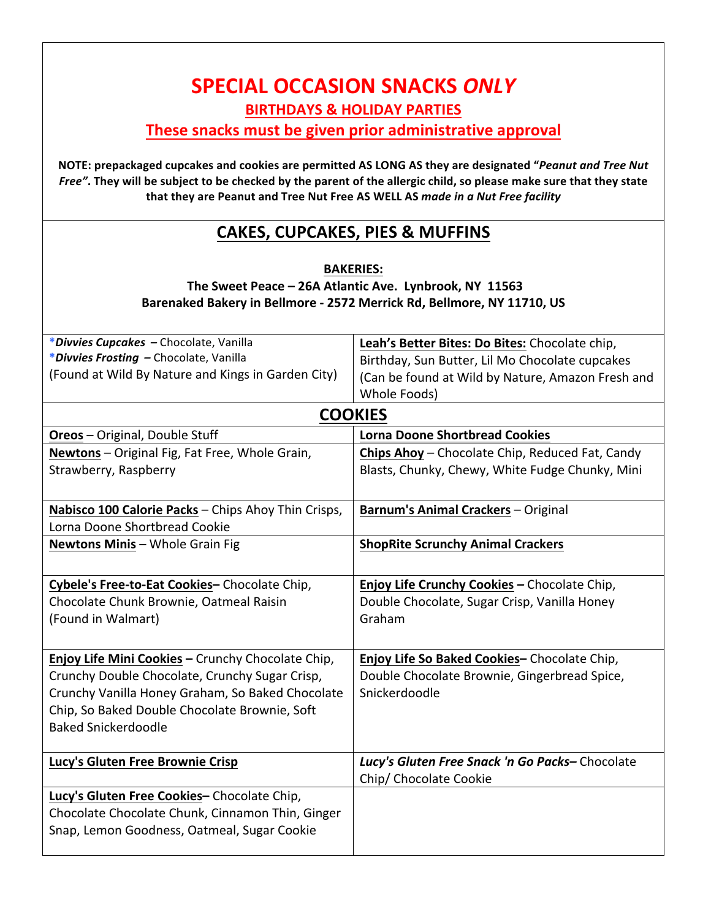| <b>SPECIAL OCCASION SNACKS ONLY</b>                                                                                                                                                                                                                                                                             |                                                                        |  |
|-----------------------------------------------------------------------------------------------------------------------------------------------------------------------------------------------------------------------------------------------------------------------------------------------------------------|------------------------------------------------------------------------|--|
| <b>BIRTHDAYS &amp; HOLIDAY PARTIES</b>                                                                                                                                                                                                                                                                          |                                                                        |  |
|                                                                                                                                                                                                                                                                                                                 | These snacks must be given prior administrative approval               |  |
|                                                                                                                                                                                                                                                                                                                 |                                                                        |  |
| NOTE: prepackaged cupcakes and cookies are permitted AS LONG AS they are designated "Peanut and Tree Nut<br>Free". They will be subject to be checked by the parent of the allergic child, so please make sure that they state<br>that they are Peanut and Tree Nut Free AS WELL AS made in a Nut Free facility |                                                                        |  |
|                                                                                                                                                                                                                                                                                                                 | CAKES, CUPCAKES, PIES & MUFFINS                                        |  |
|                                                                                                                                                                                                                                                                                                                 | <b>BAKERIES:</b>                                                       |  |
|                                                                                                                                                                                                                                                                                                                 | The Sweet Peace - 26A Atlantic Ave. Lynbrook, NY 11563                 |  |
|                                                                                                                                                                                                                                                                                                                 | Barenaked Bakery in Bellmore - 2572 Merrick Rd, Bellmore, NY 11710, US |  |
|                                                                                                                                                                                                                                                                                                                 |                                                                        |  |
| *Divvies Cupcakes - Chocolate, Vanilla                                                                                                                                                                                                                                                                          | Leah's Better Bites: Do Bites: Chocolate chip,                         |  |
| *Divvies Frosting - Chocolate, Vanilla                                                                                                                                                                                                                                                                          | Birthday, Sun Butter, Lil Mo Chocolate cupcakes                        |  |
| (Found at Wild By Nature and Kings in Garden City)                                                                                                                                                                                                                                                              | (Can be found at Wild by Nature, Amazon Fresh and                      |  |
|                                                                                                                                                                                                                                                                                                                 | Whole Foods)                                                           |  |
|                                                                                                                                                                                                                                                                                                                 | <b>COOKIES</b>                                                         |  |
| <b>Oreos</b> - Original, Double Stuff                                                                                                                                                                                                                                                                           | <b>Lorna Doone Shortbread Cookies</b>                                  |  |
| <b>Newtons</b> – Original Fig, Fat Free, Whole Grain,                                                                                                                                                                                                                                                           | <b>Chips Ahoy</b> – Chocolate Chip, Reduced Fat, Candy                 |  |
| Strawberry, Raspberry                                                                                                                                                                                                                                                                                           | Blasts, Chunky, Chewy, White Fudge Chunky, Mini                        |  |
| Nabisco 100 Calorie Packs - Chips Ahoy Thin Crisps,                                                                                                                                                                                                                                                             | <b>Barnum's Animal Crackers - Original</b>                             |  |
| Lorna Doone Shortbread Cookie                                                                                                                                                                                                                                                                                   |                                                                        |  |
| Newtons Minis - Whole Grain Fig                                                                                                                                                                                                                                                                                 | <b>ShopRite Scrunchy Animal Crackers</b>                               |  |
|                                                                                                                                                                                                                                                                                                                 |                                                                        |  |
| Cybele's Free-to-Eat Cookies- Chocolate Chip,                                                                                                                                                                                                                                                                   | Enjoy Life Crunchy Cookies - Chocolate Chip,                           |  |
| Chocolate Chunk Brownie, Oatmeal Raisin                                                                                                                                                                                                                                                                         | Double Chocolate, Sugar Crisp, Vanilla Honey                           |  |
| (Found in Walmart)                                                                                                                                                                                                                                                                                              | Graham                                                                 |  |
| Enjoy Life Mini Cookies - Crunchy Chocolate Chip,                                                                                                                                                                                                                                                               | Enjoy Life So Baked Cookies- Chocolate Chip,                           |  |
| Crunchy Double Chocolate, Crunchy Sugar Crisp,                                                                                                                                                                                                                                                                  | Double Chocolate Brownie, Gingerbread Spice,                           |  |
| Crunchy Vanilla Honey Graham, So Baked Chocolate                                                                                                                                                                                                                                                                | Snickerdoodle                                                          |  |
| Chip, So Baked Double Chocolate Brownie, Soft                                                                                                                                                                                                                                                                   |                                                                        |  |
| <b>Baked Snickerdoodle</b>                                                                                                                                                                                                                                                                                      |                                                                        |  |
|                                                                                                                                                                                                                                                                                                                 |                                                                        |  |
| Lucy's Gluten Free Brownie Crisp                                                                                                                                                                                                                                                                                | Lucy's Gluten Free Snack 'n Go Packs-Chocolate                         |  |
|                                                                                                                                                                                                                                                                                                                 | Chip/ Chocolate Cookie                                                 |  |
| Lucy's Gluten Free Cookies-Chocolate Chip,                                                                                                                                                                                                                                                                      |                                                                        |  |
| Chocolate Chocolate Chunk, Cinnamon Thin, Ginger                                                                                                                                                                                                                                                                |                                                                        |  |
| Snap, Lemon Goodness, Oatmeal, Sugar Cookie                                                                                                                                                                                                                                                                     |                                                                        |  |
|                                                                                                                                                                                                                                                                                                                 |                                                                        |  |

 $\overline{\phantom{a}}$